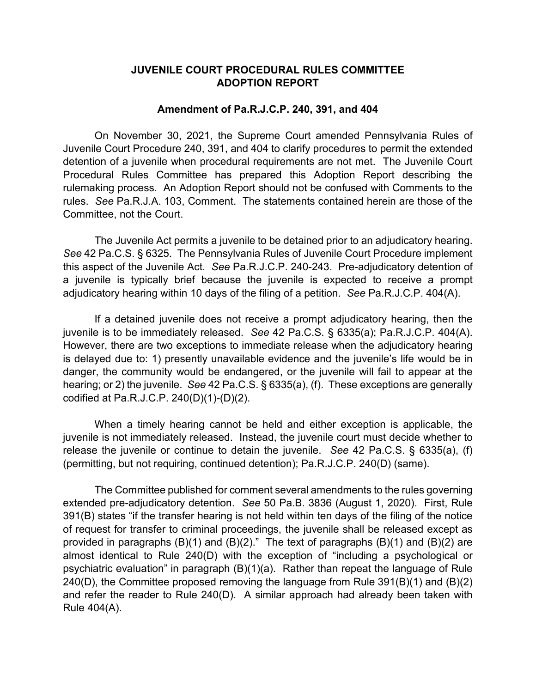## **JUVENILE COURT PROCEDURAL RULES COMMITTEE ADOPTION REPORT**

## **Amendment of Pa.R.J.C.P. 240, 391, and 404**

On November 30, 2021, the Supreme Court amended Pennsylvania Rules of Juvenile Court Procedure 240, 391, and 404 to clarify procedures to permit the extended detention of a juvenile when procedural requirements are not met. The Juvenile Court Procedural Rules Committee has prepared this Adoption Report describing the rulemaking process. An Adoption Report should not be confused with Comments to the rules. *See* Pa.R.J.A. 103, Comment. The statements contained herein are those of the Committee, not the Court.

The Juvenile Act permits a juvenile to be detained prior to an adjudicatory hearing. *See* 42 Pa.C.S. § 6325. The Pennsylvania Rules of Juvenile Court Procedure implement this aspect of the Juvenile Act. *See* Pa.R.J.C.P. 240-243. Pre-adjudicatory detention of a juvenile is typically brief because the juvenile is expected to receive a prompt adjudicatory hearing within 10 days of the filing of a petition. *See* Pa.R.J.C.P. 404(A).

If a detained juvenile does not receive a prompt adjudicatory hearing, then the juvenile is to be immediately released. *See* 42 Pa.C.S. § 6335(a); Pa.R.J.C.P. 404(A). However, there are two exceptions to immediate release when the adjudicatory hearing is delayed due to: 1) presently unavailable evidence and the juvenile's life would be in danger, the community would be endangered, or the juvenile will fail to appear at the hearing; or 2) the juvenile. *See* 42 Pa.C.S. § 6335(a), (f). These exceptions are generally codified at Pa.R.J.C.P. 240(D)(1)-(D)(2).

When a timely hearing cannot be held and either exception is applicable, the juvenile is not immediately released. Instead, the juvenile court must decide whether to release the juvenile or continue to detain the juvenile. *See* 42 Pa.C.S. § 6335(a), (f) (permitting, but not requiring, continued detention); Pa.R.J.C.P. 240(D) (same).

The Committee published for comment several amendments to the rules governing extended pre-adjudicatory detention. *See* 50 Pa.B. 3836 (August 1, 2020). First, Rule 391(B) states "if the transfer hearing is not held within ten days of the filing of the notice of request for transfer to criminal proceedings, the juvenile shall be released except as provided in paragraphs  $(B)(1)$  and  $(B)(2)$ ." The text of paragraphs  $(B)(1)$  and  $(B)(2)$  are almost identical to Rule 240(D) with the exception of "including a psychological or psychiatric evaluation" in paragraph (B)(1)(a). Rather than repeat the language of Rule 240(D), the Committee proposed removing the language from Rule 391(B)(1) and (B)(2) and refer the reader to Rule 240(D). A similar approach had already been taken with Rule 404(A).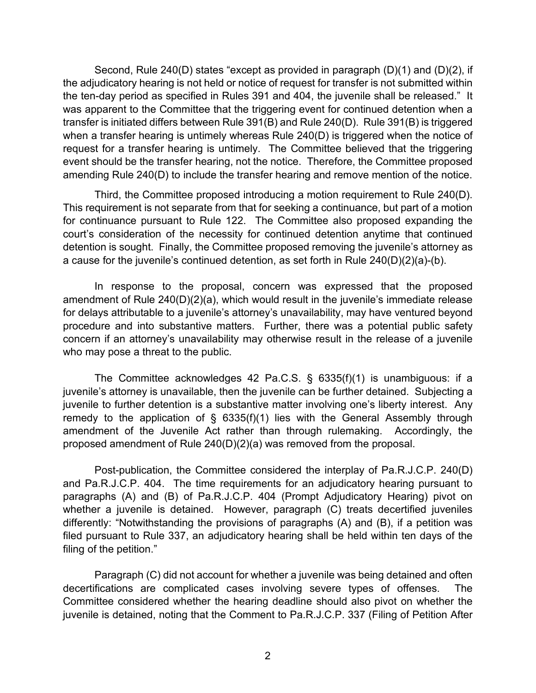Second, Rule 240(D) states "except as provided in paragraph (D)(1) and (D)(2), if the adjudicatory hearing is not held or notice of request for transfer is not submitted within the ten-day period as specified in Rules 391 and 404, the juvenile shall be released." It was apparent to the Committee that the triggering event for continued detention when a transfer is initiated differs between Rule 391(B) and Rule 240(D). Rule 391(B) is triggered when a transfer hearing is untimely whereas Rule 240(D) is triggered when the notice of request for a transfer hearing is untimely. The Committee believed that the triggering event should be the transfer hearing, not the notice. Therefore, the Committee proposed amending Rule 240(D) to include the transfer hearing and remove mention of the notice.

Third, the Committee proposed introducing a motion requirement to Rule 240(D). This requirement is not separate from that for seeking a continuance, but part of a motion for continuance pursuant to Rule 122. The Committee also proposed expanding the court's consideration of the necessity for continued detention anytime that continued detention is sought. Finally, the Committee proposed removing the juvenile's attorney as a cause for the juvenile's continued detention, as set forth in Rule 240(D)(2)(a)-(b).

In response to the proposal, concern was expressed that the proposed amendment of Rule 240(D)(2)(a), which would result in the juvenile's immediate release for delays attributable to a juvenile's attorney's unavailability, may have ventured beyond procedure and into substantive matters. Further, there was a potential public safety concern if an attorney's unavailability may otherwise result in the release of a juvenile who may pose a threat to the public.

The Committee acknowledges 42 Pa.C.S. § 6335(f)(1) is unambiguous: if a juvenile's attorney is unavailable, then the juvenile can be further detained. Subjecting a juvenile to further detention is a substantive matter involving one's liberty interest. Any remedy to the application of  $\S$  6335(f)(1) lies with the General Assembly through amendment of the Juvenile Act rather than through rulemaking. Accordingly, the proposed amendment of Rule 240(D)(2)(a) was removed from the proposal.

Post-publication, the Committee considered the interplay of Pa.R.J.C.P. 240(D) and Pa.R.J.C.P. 404. The time requirements for an adjudicatory hearing pursuant to paragraphs (A) and (B) of Pa.R.J.C.P. 404 (Prompt Adjudicatory Hearing) pivot on whether a juvenile is detained. However, paragraph (C) treats decertified juveniles differently: "Notwithstanding the provisions of paragraphs (A) and (B), if a petition was filed pursuant to Rule 337, an adjudicatory hearing shall be held within ten days of the filing of the petition."

Paragraph (C) did not account for whether a juvenile was being detained and often decertifications are complicated cases involving severe types of offenses. The Committee considered whether the hearing deadline should also pivot on whether the juvenile is detained, noting that the Comment to Pa.R.J.C.P. 337 (Filing of Petition After